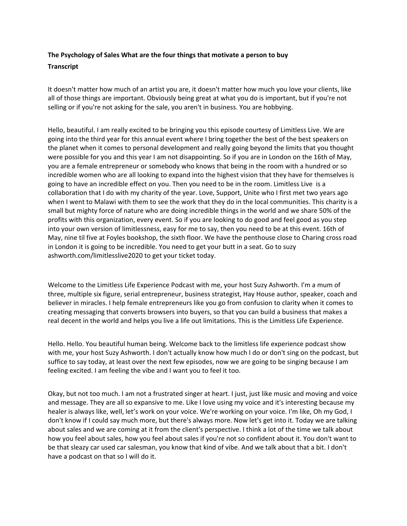## **The Psychology of Sales What are the four things that motivate a person to buy Transcript**

It doesn't matter how much of an artist you are, it doesn't matter how much you love your clients, like all of those things are important. Obviously being great at what you do is important, but if you're not selling or if you're not asking for the sale, you aren't in business. You are hobbying.

Hello, beautiful. I am really excited to be bringing you this episode courtesy of Limitless Live. We are going into the third year for this annual event where I bring together the best of the best speakers on the planet when it comes to personal development and really going beyond the limits that you thought were possible for you and this year I am not disappointing. So if you are in London on the 16th of May, you are a female entrepreneur or somebody who knows that being in the room with a hundred or so incredible women who are all looking to expand into the highest vision that they have for themselves is going to have an incredible effect on you. Then you need to be in the room. Limitless Live is a collaboration that I do with my charity of the year. Love, Support, Unite who I first met two years ago when I went to Malawi with them to see the work that they do in the local communities. This charity is a small but mighty force of nature who are doing incredible things in the world and we share 50% of the profits with this organization, every event. So if you are looking to do good and feel good as you step into your own version of limitlessness, easy for me to say, then you need to be at this event. 16th of May, nine til five at Foyles bookshop, the sixth floor. We have the penthouse close to Charing cross road in London it is going to be incredible. You need to get your butt in a seat. Go to suzy ashworth.com/limitlesslive2020 to get your ticket today.

Welcome to the Limitless Life Experience Podcast with me, your host Suzy Ashworth. I'm a mum of three, multiple six figure, serial entrepreneur, business strategist, Hay House author, speaker, coach and believer in miracles. I help female entrepreneurs like you go from confusion to clarity when it comes to creating messaging that converts browsers into buyers, so that you can build a business that makes a real decent in the world and helps you live a life out limitations. This is the Limitless Life Experience.

Hello. Hello. You beautiful human being. Welcome back to the limitless life experience podcast show with me, your host Suzy Ashworth. I don't actually know how much I do or don't sing on the podcast, but suffice to say today, at least over the next few episodes, now we are going to be singing because I am feeling excited. I am feeling the vibe and I want you to feel it too.

Okay, but not too much. I am not a frustrated singer at heart. I just, just like music and moving and voice and message. They are all so expansive to me. Like I love using my voice and it's interesting because my healer is always like, well, let's work on your voice. We're working on your voice. I'm like, Oh my God, I don't know if I could say much more, but there's always more. Now let's get into it. Today we are talking about sales and we are coming at it from the client's perspective. I think a lot of the time we talk about how you feel about sales, how you feel about sales if you're not so confident about it. You don't want to be that sleazy car used car salesman, you know that kind of vibe. And we talk about that a bit. I don't have a podcast on that so I will do it.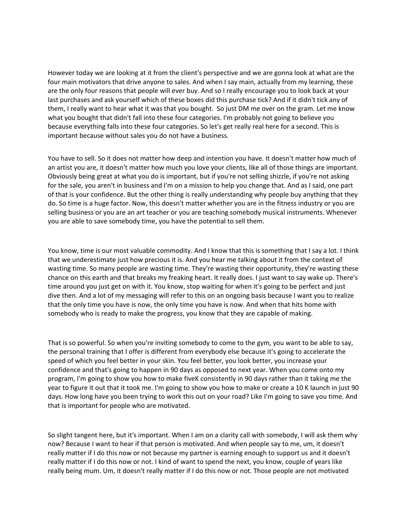However today we are looking at it from the client's perspective and we are gonna look at what are the four main motivators that drive anyone to sales. And when I say main, actually from my learning, these are the only four reasons that people will ever buy. And so I really encourage you to look back at your last purchases and ask yourself which of these boxes did this purchase tick? And if it didn't tick any of them, I really want to hear what it was that you bought. So just DM me over on the gram. Let me know what you bought that didn't fall into these four categories. I'm probably not going to believe you because everything falls into these four categories. So let's get really real here for a second. This is important because without sales you do not have a business.

You have to sell. So it does not matter how deep and intention you have. It doesn't matter how much of an artist you are, it doesn't matter how much you love your clients, like all of those things are important. Obviously being great at what you do is important, but if you're not selling shizzle, if you're not asking for the sale, you aren't in business and I'm on a mission to help you change that. And as I said, one part of that is your confidence. But the other thing is really understanding why people buy anything that they do. So time is a huge factor. Now, this doesn't matter whether you are in the fitness industry or you are selling business or you are an art teacher or you are teaching somebody musical instruments. Whenever you are able to save somebody time, you have the potential to sell them.

You know, time is our most valuable commodity. And I know that this is something that I say a lot. I think that we underestimate just how precious it is. And you hear me talking about it from the context of wasting time. So many people are wasting time. They're wasting their opportunity, they're wasting these chance on this earth and that breaks my freaking heart. It really does. I just want to say wake up. There's time around you just get on with it. You know, stop waiting for when it's going to be perfect and just dive then. And a lot of my messaging will refer to this on an ongoing basis because I want you to realize that the only time you have is now, the only time you have is now. And when that hits home with somebody who is ready to make the progress, you know that they are capable of making.

That is so powerful. So when you're inviting somebody to come to the gym, you want to be able to say, the personal training that I offer is different from everybody else because it's going to accelerate the speed of which you feel better in your skin. You feel better, you look better, you increase your confidence and that's going to happen in 90 days as opposed to next year. When you come onto my program, I'm going to show you how to make fiveK consistently in 90 days rather than it taking me the year to figure it out that it took me. I'm going to show you how to make or create a 10 K launch in just 90 days. How long have you been trying to work this out on your road? Like I'm going to save you time. And that is important for people who are motivated.

So slight tangent here, but it's important. When I am on a clarity call with somebody, I will ask them why now? Because I want to hear if that person is motivated. And when people say to me, um, it doesn't really matter if I do this now or not because my partner is earning enough to support us and it doesn't really matter if I do this now or not. I kind of want to spend the next, you know, couple of years like really being mum. Um, it doesn't really matter if I do this now or not. Those people are not motivated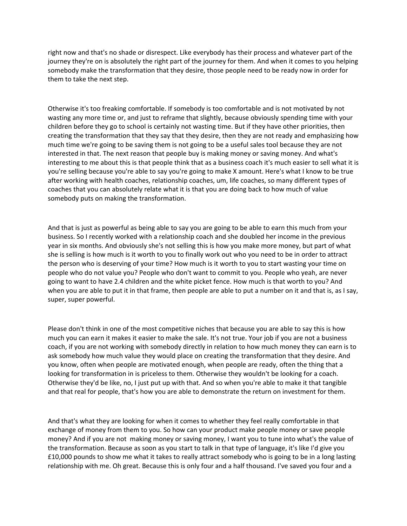right now and that's no shade or disrespect. Like everybody has their process and whatever part of the journey they're on is absolutely the right part of the journey for them. And when it comes to you helping somebody make the transformation that they desire, those people need to be ready now in order for them to take the next step.

Otherwise it's too freaking comfortable. If somebody is too comfortable and is not motivated by not wasting any more time or, and just to reframe that slightly, because obviously spending time with your children before they go to school is certainly not wasting time. But if they have other priorities, then creating the transformation that they say that they desire, then they are not ready and emphasizing how much time we're going to be saving them is not going to be a useful sales tool because they are not interested in that. The next reason that people buy is making money or saving money. And what's interesting to me about this is that people think that as a business coach it's much easier to sell what it is you're selling because you're able to say you're going to make X amount. Here's what I know to be true after working with health coaches, relationship coaches, um, life coaches, so many different types of coaches that you can absolutely relate what it is that you are doing back to how much of value somebody puts on making the transformation.

And that is just as powerful as being able to say you are going to be able to earn this much from your business. So I recently worked with a relationship coach and she doubled her income in the previous year in six months. And obviously she's not selling this is how you make more money, but part of what she is selling is how much is it worth to you to finally work out who you need to be in order to attract the person who is deserving of your time? How much is it worth to you to start wasting your time on people who do not value you? People who don't want to commit to you. People who yeah, are never going to want to have 2.4 children and the white picket fence. How much is that worth to you? And when you are able to put it in that frame, then people are able to put a number on it and that is, as I say, super, super powerful.

Please don't think in one of the most competitive niches that because you are able to say this is how much you can earn it makes it easier to make the sale. It's not true. Your job if you are not a business coach, if you are not working with somebody directly in relation to how much money they can earn is to ask somebody how much value they would place on creating the transformation that they desire. And you know, often when people are motivated enough, when people are ready, often the thing that a looking for transformation in is priceless to them. Otherwise they wouldn't be looking for a coach. Otherwise they'd be like, no, I just put up with that. And so when you're able to make it that tangible and that real for people, that's how you are able to demonstrate the return on investment for them.

And that's what they are looking for when it comes to whether they feel really comfortable in that exchange of money from them to you. So how can your product make people money or save people money? And if you are not making money or saving money, I want you to tune into what's the value of the transformation. Because as soon as you start to talk in that type of language, it's like I'd give you £10,000 pounds to show me what it takes to really attract somebody who is going to be in a long lasting relationship with me. Oh great. Because this is only four and a half thousand. I've saved you four and a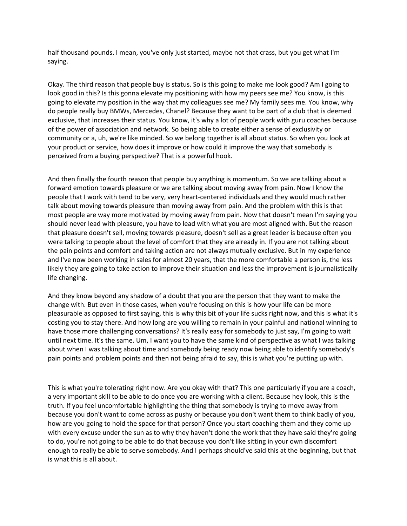half thousand pounds. I mean, you've only just started, maybe not that crass, but you get what I'm saying.

Okay. The third reason that people buy is status. So is this going to make me look good? Am I going to look good in this? Is this gonna elevate my positioning with how my peers see me? You know, is this going to elevate my position in the way that my colleagues see me? My family sees me. You know, why do people really buy BMWs, Mercedes, Chanel? Because they want to be part of a club that is deemed exclusive, that increases their status. You know, it's why a lot of people work with guru coaches because of the power of association and network. So being able to create either a sense of exclusivity or community or a, uh, we're like minded. So we belong together is all about status. So when you look at your product or service, how does it improve or how could it improve the way that somebody is perceived from a buying perspective? That is a powerful hook.

And then finally the fourth reason that people buy anything is momentum. So we are talking about a forward emotion towards pleasure or we are talking about moving away from pain. Now I know the people that I work with tend to be very, very heart-centered individuals and they would much rather talk about moving towards pleasure than moving away from pain. And the problem with this is that most people are way more motivated by moving away from pain. Now that doesn't mean I'm saying you should never lead with pleasure, you have to lead with what you are most aligned with. But the reason that pleasure doesn't sell, moving towards pleasure, doesn't sell as a great leader is because often you were talking to people about the level of comfort that they are already in. If you are not talking about the pain points and comfort and taking action are not always mutually exclusive. But in my experience and I've now been working in sales for almost 20 years, that the more comfortable a person is, the less likely they are going to take action to improve their situation and less the improvement is journalistically life changing.

And they know beyond any shadow of a doubt that you are the person that they want to make the change with. But even in those cases, when you're focusing on this is how your life can be more pleasurable as opposed to first saying, this is why this bit of your life sucks right now, and this is what it's costing you to stay there. And how long are you willing to remain in your painful and national winning to have those more challenging conversations? It's really easy for somebody to just say, I'm going to wait until next time. It's the same. Um, I want you to have the same kind of perspective as what I was talking about when I was talking about time and somebody being ready now being able to identify somebody's pain points and problem points and then not being afraid to say, this is what you're putting up with.

This is what you're tolerating right now. Are you okay with that? This one particularly if you are a coach, a very important skill to be able to do once you are working with a client. Because hey look, this is the truth. If you feel uncomfortable highlighting the thing that somebody is trying to move away from because you don't want to come across as pushy or because you don't want them to think badly of you, how are you going to hold the space for that person? Once you start coaching them and they come up with every excuse under the sun as to why they haven't done the work that they have said they're going to do, you're not going to be able to do that because you don't like sitting in your own discomfort enough to really be able to serve somebody. And I perhaps should've said this at the beginning, but that is what this is all about.